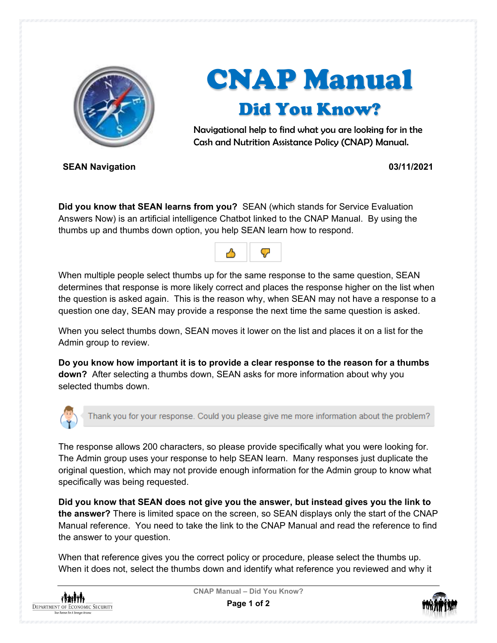

CNAP Manual Did You Know?

Navigational help to find what you are looking for in the Cash and Nutrition Assistance Policy (CNAP) Manual.

**SEAN Navigation 03/11/2021**

**Did you know that SEAN learns from you?** SEAN (which stands for Service Evaluation Answers Now) is an artificial intelligence Chatbot linked to the CNAP Manual. By using the thumbs up and thumbs down option, you help SEAN learn how to respond.



When multiple people select thumbs up for the same response to the same question, SEAN determines that response is more likely correct and places the response higher on the list when the question is asked again. This is the reason why, when SEAN may not have a response to a question one day, SEAN may provide a response the next time the same question is asked.

When you select thumbs down, SEAN moves it lower on the list and places it on a list for the Admin group to review.

**Do you know how important it is to provide a clear response to the reason for a thumbs down?** After selecting a thumbs down, SEAN asks for more information about why you selected thumbs down.



Thank you for your response. Could you please give me more information about the problem?

The response allows 200 characters, so please provide specifically what you were looking for. The Admin group uses your response to help SEAN learn. Many responses just duplicate the original question, which may not provide enough information for the Admin group to know what specifically was being requested.

**Did you know that SEAN does not give you the answer, but instead gives you the link to the answer?** There is limited space on the screen, so SEAN displays only the start of the CNAP Manual reference. You need to take the link to the CNAP Manual and read the reference to find the answer to your question.

When that reference gives you the correct policy or procedure, please select the thumbs up. When it does not, select the thumbs down and identify what reference you reviewed and why it